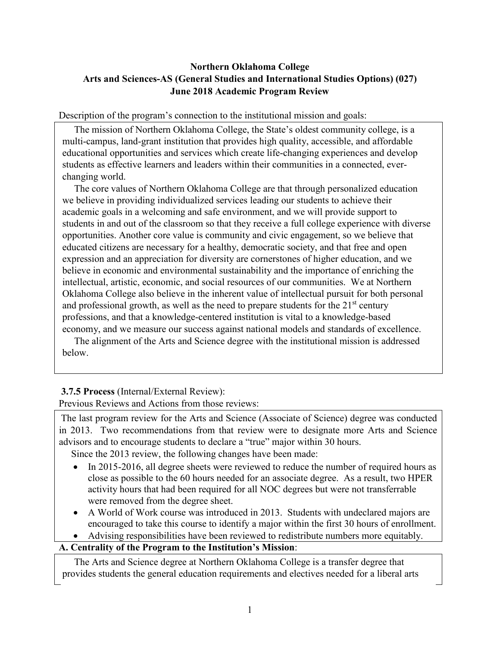# **Northern Oklahoma College Arts and Sciences-AS (General Studies and International Studies Options) (027) June 2018 Academic Program Review**

Description of the program's connection to the institutional mission and goals:

 The mission of Northern Oklahoma College, the State's oldest community college, is a multi-campus, land-grant institution that provides high quality, accessible, and affordable educational opportunities and services which create life-changing experiences and develop students as effective learners and leaders within their communities in a connected, everchanging world.

 The core values of Northern Oklahoma College are that through personalized education we believe in providing individualized services leading our students to achieve their academic goals in a welcoming and safe environment, and we will provide support to students in and out of the classroom so that they receive a full college experience with diverse opportunities. Another core value is community and civic engagement, so we believe that educated citizens are necessary for a healthy, democratic society, and that free and open expression and an appreciation for diversity are cornerstones of higher education, and we believe in economic and environmental sustainability and the importance of enriching the intellectual, artistic, economic, and social resources of our communities. We at Northern Oklahoma College also believe in the inherent value of intellectual pursuit for both personal and professional growth, as well as the need to prepare students for the  $21<sup>st</sup>$  century professions, and that a knowledge-centered institution is vital to a knowledge-based economy, and we measure our success against national models and standards of excellence.

 The alignment of the Arts and Science degree with the institutional mission is addressed below.

# **3.7.5 Process** (Internal/External Review):

Previous Reviews and Actions from those reviews:

The last program review for the Arts and Science (Associate of Science) degree was conducted in 2013. Two recommendations from that review were to designate more Arts and Science advisors and to encourage students to declare a "true" major within 30 hours.

Since the 2013 review, the following changes have been made:

- In 2015-2016, all degree sheets were reviewed to reduce the number of required hours as close as possible to the 60 hours needed for an associate degree. As a result, two HPER activity hours that had been required for all NOC degrees but were not transferrable were removed from the degree sheet.
- A World of Work course was introduced in 2013. Students with undeclared majors are encouraged to take this course to identify a major within the first 30 hours of enrollment.
	- Advising responsibilities have been reviewed to redistribute numbers more equitably.

## **A. Centrality of the Program to the Institution's Mission**:

 The Arts and Science degree at Northern Oklahoma College is a transfer degree that provides students the general education requirements and electives needed for a liberal arts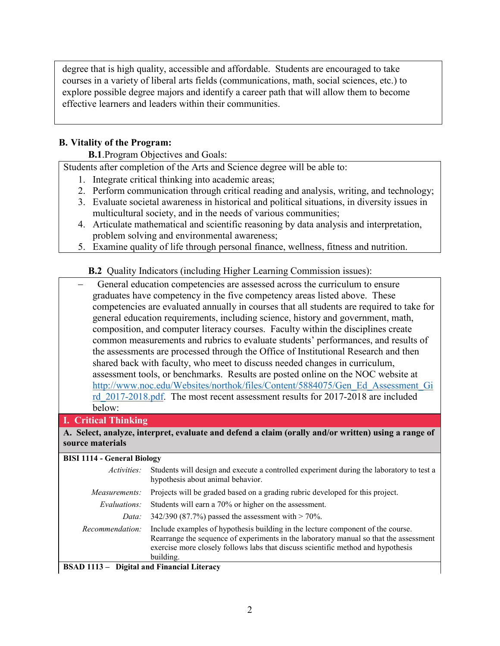degree that is high quality, accessible and affordable. Students are encouraged to take courses in a variety of liberal arts fields (communications, math, social sciences, etc.) to explore possible degree majors and identify a career path that will allow them to become effective learners and leaders within their communities.

## **B. Vitality of the Program:**

**B.1**.Program Objectives and Goals:

Students after completion of the Arts and Science degree will be able to:

- 1. Integrate critical thinking into academic areas;
- 2. Perform communication through critical reading and analysis, writing, and technology;
- 3. Evaluate societal awareness in historical and political situations, in diversity issues in multicultural society, and in the needs of various communities;
- 4. Articulate mathematical and scientific reasoning by data analysis and interpretation, problem solving and environmental awareness;
- 5. Examine quality of life through personal finance, wellness, fitness and nutrition.

## **B.2** Quality Indicators (including Higher Learning Commission issues):

| General education competencies are assessed across the curriculum to ensure               |
|-------------------------------------------------------------------------------------------|
| graduates have competency in the five competency areas listed above. These                |
| competencies are evaluated annually in courses that all students are required to take for |
| general education requirements, including science, history and government, math,          |
| composition, and computer literacy courses. Faculty within the disciplines create         |
| common measurements and rubrics to evaluate students' performances, and results of        |
| the assessments are processed through the Office of Institutional Research and then       |
| shared back with faculty, who meet to discuss needed changes in curriculum,               |
| assessment tools, or benchmarks. Results are posted online on the NOC website at          |
| http://www.noc.edu/Websites/northok/files/Content/5884075/Gen Ed Assessment Gi            |
| rd 2017-2018.pdf. The most recent assessment results for 2017-2018 are included           |
| below:                                                                                    |

## **I. Critical Thinking**

#### **A. Select, analyze, interpret, evaluate and defend a claim (orally and/or written) using a range of source materials**

#### **BISI 1114 - General Biology**

| <i>Activities:</i>                                | Students will design and execute a controlled experiment during the laboratory to test a<br>hypothesis about animal behavior.                                                                                                                                             |  |  |  |
|---------------------------------------------------|---------------------------------------------------------------------------------------------------------------------------------------------------------------------------------------------------------------------------------------------------------------------------|--|--|--|
| Measurements:                                     | Projects will be graded based on a grading rubric developed for this project.                                                                                                                                                                                             |  |  |  |
| Evaluations:                                      | Students will earn a 70% or higher on the assessment.                                                                                                                                                                                                                     |  |  |  |
| Data:                                             | 342/390 (87.7%) passed the assessment with $>$ 70%.                                                                                                                                                                                                                       |  |  |  |
| Recommendation:                                   | Include examples of hypothesis building in the lecture component of the course.<br>Rearrange the sequence of experiments in the laboratory manual so that the assessment<br>exercise more closely follows labs that discuss scientific method and hypothesis<br>building. |  |  |  |
| <b>BSAD 1113 - Digital and Financial Literacy</b> |                                                                                                                                                                                                                                                                           |  |  |  |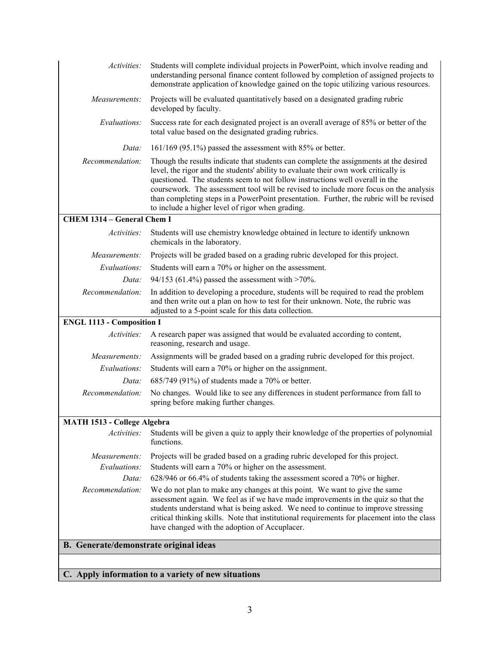| Activities:                                         | Students will complete individual projects in PowerPoint, which involve reading and<br>understanding personal finance content followed by completion of assigned projects to<br>demonstrate application of knowledge gained on the topic utilizing various resources.                                                                                                                                                                                                                                |  |  |  |
|-----------------------------------------------------|------------------------------------------------------------------------------------------------------------------------------------------------------------------------------------------------------------------------------------------------------------------------------------------------------------------------------------------------------------------------------------------------------------------------------------------------------------------------------------------------------|--|--|--|
| Measurements:                                       | Projects will be evaluated quantitatively based on a designated grading rubric<br>developed by faculty.                                                                                                                                                                                                                                                                                                                                                                                              |  |  |  |
| Evaluations:                                        | Success rate for each designated project is an overall average of 85% or better of the<br>total value based on the designated grading rubrics.                                                                                                                                                                                                                                                                                                                                                       |  |  |  |
| Data:                                               | 161/169 (95.1%) passed the assessment with 85% or better.                                                                                                                                                                                                                                                                                                                                                                                                                                            |  |  |  |
| Recommendation:                                     | Though the results indicate that students can complete the assignments at the desired<br>level, the rigor and the students' ability to evaluate their own work critically is<br>questioned. The students seem to not follow instructions well overall in the<br>coursework. The assessment tool will be revised to include more focus on the analysis<br>than completing steps in a PowerPoint presentation. Further, the rubric will be revised<br>to include a higher level of rigor when grading. |  |  |  |
| <b>CHEM 1314 - General Chem I</b>                   |                                                                                                                                                                                                                                                                                                                                                                                                                                                                                                      |  |  |  |
| Activities:                                         | Students will use chemistry knowledge obtained in lecture to identify unknown<br>chemicals in the laboratory.                                                                                                                                                                                                                                                                                                                                                                                        |  |  |  |
| Measurements:                                       | Projects will be graded based on a grading rubric developed for this project.                                                                                                                                                                                                                                                                                                                                                                                                                        |  |  |  |
| Evaluations:                                        | Students will earn a 70% or higher on the assessment.                                                                                                                                                                                                                                                                                                                                                                                                                                                |  |  |  |
| Data:                                               | 94/153 (61.4%) passed the assessment with $>70\%$ .                                                                                                                                                                                                                                                                                                                                                                                                                                                  |  |  |  |
| Recommendation:                                     | In addition to developing a procedure, students will be required to read the problem<br>and then write out a plan on how to test for their unknown. Note, the rubric was<br>adjusted to a 5-point scale for this data collection.                                                                                                                                                                                                                                                                    |  |  |  |
| <b>ENGL 1113 - Composition I</b>                    |                                                                                                                                                                                                                                                                                                                                                                                                                                                                                                      |  |  |  |
| Activities:                                         | A research paper was assigned that would be evaluated according to content,<br>reasoning, research and usage.                                                                                                                                                                                                                                                                                                                                                                                        |  |  |  |
| Measurements:                                       | Assignments will be graded based on a grading rubric developed for this project.                                                                                                                                                                                                                                                                                                                                                                                                                     |  |  |  |
| Evaluations:                                        | Students will earn a 70% or higher on the assignment.                                                                                                                                                                                                                                                                                                                                                                                                                                                |  |  |  |
| Data:                                               | 685/749 (91%) of students made a 70% or better.                                                                                                                                                                                                                                                                                                                                                                                                                                                      |  |  |  |
| Recommendation:                                     | No changes. Would like to see any differences in student performance from fall to<br>spring before making further changes.                                                                                                                                                                                                                                                                                                                                                                           |  |  |  |
| <b>MATH 1513 - College Algebra</b>                  |                                                                                                                                                                                                                                                                                                                                                                                                                                                                                                      |  |  |  |
| Activities:                                         | Students will be given a quiz to apply their knowledge of the properties of polynomial<br>functions.                                                                                                                                                                                                                                                                                                                                                                                                 |  |  |  |
| Measurements:                                       | Projects will be graded based on a grading rubric developed for this project.                                                                                                                                                                                                                                                                                                                                                                                                                        |  |  |  |
| Evaluations:                                        | Students will earn a 70% or higher on the assessment.                                                                                                                                                                                                                                                                                                                                                                                                                                                |  |  |  |
| Data:                                               | 628/946 or 66.4% of students taking the assessment scored a 70% or higher.                                                                                                                                                                                                                                                                                                                                                                                                                           |  |  |  |
| Recommendation:                                     | We do not plan to make any changes at this point. We want to give the same<br>assessment again. We feel as if we have made improvements in the quiz so that the<br>students understand what is being asked. We need to continue to improve stressing<br>critical thinking skills. Note that institutional requirements for placement into the class<br>have changed with the adoption of Accuplacer.                                                                                                 |  |  |  |
| B. Generate/demonstrate original ideas              |                                                                                                                                                                                                                                                                                                                                                                                                                                                                                                      |  |  |  |
|                                                     |                                                                                                                                                                                                                                                                                                                                                                                                                                                                                                      |  |  |  |
| C. Apply information to a variety of new situations |                                                                                                                                                                                                                                                                                                                                                                                                                                                                                                      |  |  |  |
|                                                     |                                                                                                                                                                                                                                                                                                                                                                                                                                                                                                      |  |  |  |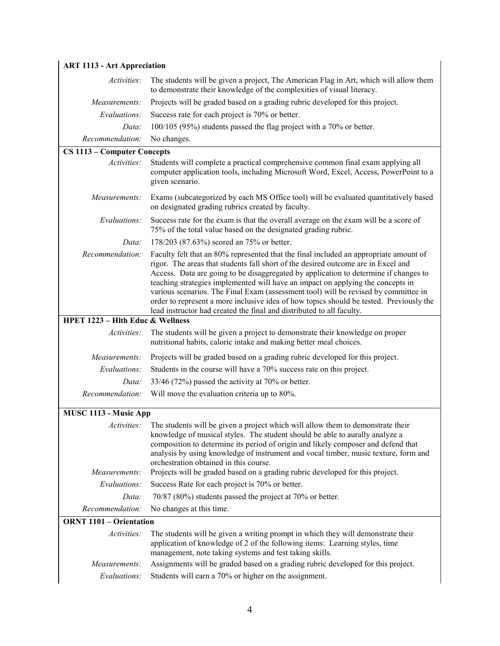| <b>ART 1113 - Art Appreciation</b>                                            |                                                                                                                                                                                                                                                                                                                                                                                                                                                                                                                                                                                                                  |  |  |  |
|-------------------------------------------------------------------------------|------------------------------------------------------------------------------------------------------------------------------------------------------------------------------------------------------------------------------------------------------------------------------------------------------------------------------------------------------------------------------------------------------------------------------------------------------------------------------------------------------------------------------------------------------------------------------------------------------------------|--|--|--|
| Activities:                                                                   | The students will be given a project, The American Flag in Art, which will allow them<br>to demonstrate their knowledge of the complexities of visual literacy.                                                                                                                                                                                                                                                                                                                                                                                                                                                  |  |  |  |
| Measurements:                                                                 | Projects will be graded based on a grading rubric developed for this project.                                                                                                                                                                                                                                                                                                                                                                                                                                                                                                                                    |  |  |  |
| Success rate for each project is 70% or better.<br>Evaluations:               |                                                                                                                                                                                                                                                                                                                                                                                                                                                                                                                                                                                                                  |  |  |  |
| 100/105 (95%) students passed the flag project with a 70% or better.<br>Data: |                                                                                                                                                                                                                                                                                                                                                                                                                                                                                                                                                                                                                  |  |  |  |
| Recommendation:                                                               | No changes.                                                                                                                                                                                                                                                                                                                                                                                                                                                                                                                                                                                                      |  |  |  |
| CS 1113 – Computer Concepts                                                   |                                                                                                                                                                                                                                                                                                                                                                                                                                                                                                                                                                                                                  |  |  |  |
| Activities:                                                                   | Students will complete a practical comprehensive common final exam applying all<br>computer application tools, including Microsoft Word, Excel, Access, PowerPoint to a<br>given scenario.                                                                                                                                                                                                                                                                                                                                                                                                                       |  |  |  |
| Measurements:                                                                 | Exams (subcategorized by each MS Office tool) will be evaluated quantitatively based<br>on designated grading rubrics created by faculty.                                                                                                                                                                                                                                                                                                                                                                                                                                                                        |  |  |  |
| Evaluations:                                                                  | Success rate for the exam is that the overall average on the exam will be a score of<br>75% of the total value based on the designated grading rubric.                                                                                                                                                                                                                                                                                                                                                                                                                                                           |  |  |  |
| Data:                                                                         | 178/203 (87.63%) scored an 75% or better.                                                                                                                                                                                                                                                                                                                                                                                                                                                                                                                                                                        |  |  |  |
| Recommendation:                                                               | Faculty felt that an 80% represented that the final included an appropriate amount of<br>rigor. The areas that students fall short of the desired outcome are in Excel and<br>Access. Data are going to be disaggregated by application to determine if changes to<br>teaching strategies implemented will have an impact on applying the concepts in<br>various scenarios. The Final Exam (assessment tool) will be revised by committee in<br>order to represent a more inclusive idea of how topics should be tested. Previously the<br>lead instructor had created the final and distributed to all faculty. |  |  |  |
| <b>HPET 1223 - Hith Educ &amp; Wellness</b>                                   |                                                                                                                                                                                                                                                                                                                                                                                                                                                                                                                                                                                                                  |  |  |  |
| Activities:                                                                   | The students will be given a project to demonstrate their knowledge on proper<br>nutritional habits, caloric intake and making better meal choices.                                                                                                                                                                                                                                                                                                                                                                                                                                                              |  |  |  |
| Measurements:                                                                 | Projects will be graded based on a grading rubric developed for this project.                                                                                                                                                                                                                                                                                                                                                                                                                                                                                                                                    |  |  |  |
| Evaluations:                                                                  | Students in the course will have a 70% success rate on this project.                                                                                                                                                                                                                                                                                                                                                                                                                                                                                                                                             |  |  |  |
| Data:                                                                         | 33/46 (72%) passed the activity at 70% or better.                                                                                                                                                                                                                                                                                                                                                                                                                                                                                                                                                                |  |  |  |
| Recommendation:                                                               | Will move the evaluation criteria up to 80%.                                                                                                                                                                                                                                                                                                                                                                                                                                                                                                                                                                     |  |  |  |
| MUSC 1113 - Music App                                                         |                                                                                                                                                                                                                                                                                                                                                                                                                                                                                                                                                                                                                  |  |  |  |
|                                                                               | Activities: The students will be given a project which will allow them to demonstrate their<br>knowledge of musical styles. The student should be able to aurally analyze a<br>composition to determine its period of origin and likely composer and defend that<br>analysis by using knowledge of instrument and vocal timber, music texture, form and<br>orchestration obtained in this course.                                                                                                                                                                                                                |  |  |  |
| Measurements:                                                                 | Projects will be graded based on a grading rubric developed for this project.                                                                                                                                                                                                                                                                                                                                                                                                                                                                                                                                    |  |  |  |
| Success Rate for each project is 70% or better.<br>Evaluations:               |                                                                                                                                                                                                                                                                                                                                                                                                                                                                                                                                                                                                                  |  |  |  |
| 70/87 (80%) students passed the project at 70% or better.<br>Data:            |                                                                                                                                                                                                                                                                                                                                                                                                                                                                                                                                                                                                                  |  |  |  |
| Recommendation:<br>No changes at this time.                                   |                                                                                                                                                                                                                                                                                                                                                                                                                                                                                                                                                                                                                  |  |  |  |
| <b>ORNT 1101 - Orientation</b>                                                |                                                                                                                                                                                                                                                                                                                                                                                                                                                                                                                                                                                                                  |  |  |  |
| Activities:                                                                   | The students will be given a writing prompt in which they will demonstrate their<br>application of knowledge of 2 of the following items: Learning styles, time<br>management, note taking systems and test taking skills.                                                                                                                                                                                                                                                                                                                                                                                       |  |  |  |
| Measurements:                                                                 | Assignments will be graded based on a grading rubric developed for this project.                                                                                                                                                                                                                                                                                                                                                                                                                                                                                                                                 |  |  |  |
| Evaluations:                                                                  | Students will earn a 70% or higher on the assignment.                                                                                                                                                                                                                                                                                                                                                                                                                                                                                                                                                            |  |  |  |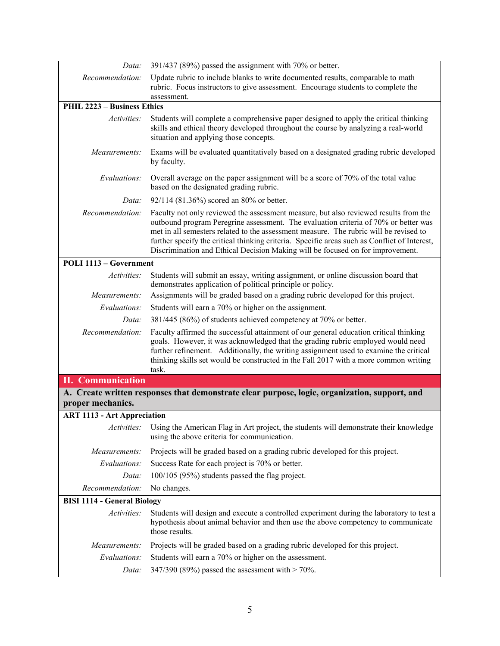| 391/437 (89%) passed the assignment with 70% or better.<br>Data:      |                                                                                                                                                                                                                                                                                                                                                                                                                                                        |  |  |
|-----------------------------------------------------------------------|--------------------------------------------------------------------------------------------------------------------------------------------------------------------------------------------------------------------------------------------------------------------------------------------------------------------------------------------------------------------------------------------------------------------------------------------------------|--|--|
| Recommendation:                                                       | Update rubric to include blanks to write documented results, comparable to math<br>rubric. Focus instructors to give assessment. Encourage students to complete the<br>assessment.                                                                                                                                                                                                                                                                     |  |  |
| PHIL 2223 - Business Ethics                                           |                                                                                                                                                                                                                                                                                                                                                                                                                                                        |  |  |
| Activities:                                                           | Students will complete a comprehensive paper designed to apply the critical thinking<br>skills and ethical theory developed throughout the course by analyzing a real-world<br>situation and applying those concepts.                                                                                                                                                                                                                                  |  |  |
| Measurements:                                                         | Exams will be evaluated quantitatively based on a designated grading rubric developed<br>by faculty.                                                                                                                                                                                                                                                                                                                                                   |  |  |
| Evaluations:                                                          | Overall average on the paper assignment will be a score of 70% of the total value<br>based on the designated grading rubric.                                                                                                                                                                                                                                                                                                                           |  |  |
| Data:                                                                 | 92/114 (81.36%) scored an 80% or better.                                                                                                                                                                                                                                                                                                                                                                                                               |  |  |
| Recommendation:                                                       | Faculty not only reviewed the assessment measure, but also reviewed results from the<br>outbound program Peregrine assessment. The evaluation criteria of 70% or better was<br>met in all semesters related to the assessment measure. The rubric will be revised to<br>further specify the critical thinking criteria. Specific areas such as Conflict of Interest,<br>Discrimination and Ethical Decision Making will be focused on for improvement. |  |  |
| POLI 1113 - Government                                                |                                                                                                                                                                                                                                                                                                                                                                                                                                                        |  |  |
| <i>Activities:</i>                                                    | Students will submit an essay, writing assignment, or online discussion board that<br>demonstrates application of political principle or policy.                                                                                                                                                                                                                                                                                                       |  |  |
| Measurements:                                                         | Assignments will be graded based on a grading rubric developed for this project.                                                                                                                                                                                                                                                                                                                                                                       |  |  |
| Evaluations:<br>Students will earn a 70% or higher on the assignment. |                                                                                                                                                                                                                                                                                                                                                                                                                                                        |  |  |
| Data:                                                                 | 381/445 (86%) of students achieved competency at 70% or better.                                                                                                                                                                                                                                                                                                                                                                                        |  |  |
| Recommendation:                                                       | Faculty affirmed the successful attainment of our general education critical thinking<br>goals. However, it was acknowledged that the grading rubric employed would need<br>further refinement. Additionally, the writing assignment used to examine the critical<br>thinking skills set would be constructed in the Fall 2017 with a more common writing<br>task.                                                                                     |  |  |
| <b>II.</b> Communication                                              |                                                                                                                                                                                                                                                                                                                                                                                                                                                        |  |  |
| proper mechanics.                                                     | A. Create written responses that demonstrate clear purpose, logic, organization, support, and                                                                                                                                                                                                                                                                                                                                                          |  |  |
| <b>ART 1113 - Art Appreciation</b>                                    |                                                                                                                                                                                                                                                                                                                                                                                                                                                        |  |  |
|                                                                       | Activities: Using the American Flag in Art project, the students will demonstrate their knowledge<br>using the above criteria for communication.                                                                                                                                                                                                                                                                                                       |  |  |
| Measurements:                                                         | Projects will be graded based on a grading rubric developed for this project.                                                                                                                                                                                                                                                                                                                                                                          |  |  |
| Evaluations:                                                          | Success Rate for each project is 70% or better.                                                                                                                                                                                                                                                                                                                                                                                                        |  |  |
| Data:                                                                 | 100/105 (95%) students passed the flag project.                                                                                                                                                                                                                                                                                                                                                                                                        |  |  |
| Recommendation:                                                       | No changes.                                                                                                                                                                                                                                                                                                                                                                                                                                            |  |  |
| <b>BISI 1114 - General Biology</b>                                    |                                                                                                                                                                                                                                                                                                                                                                                                                                                        |  |  |
| Activities:                                                           | Students will design and execute a controlled experiment during the laboratory to test a<br>hypothesis about animal behavior and then use the above competency to communicate<br>those results.                                                                                                                                                                                                                                                        |  |  |
| Measurements:                                                         | Projects will be graded based on a grading rubric developed for this project.                                                                                                                                                                                                                                                                                                                                                                          |  |  |
| Evaluations:                                                          | Students will earn a 70% or higher on the assessment.                                                                                                                                                                                                                                                                                                                                                                                                  |  |  |
| Data:                                                                 | 347/390 (89%) passed the assessment with $>$ 70%.                                                                                                                                                                                                                                                                                                                                                                                                      |  |  |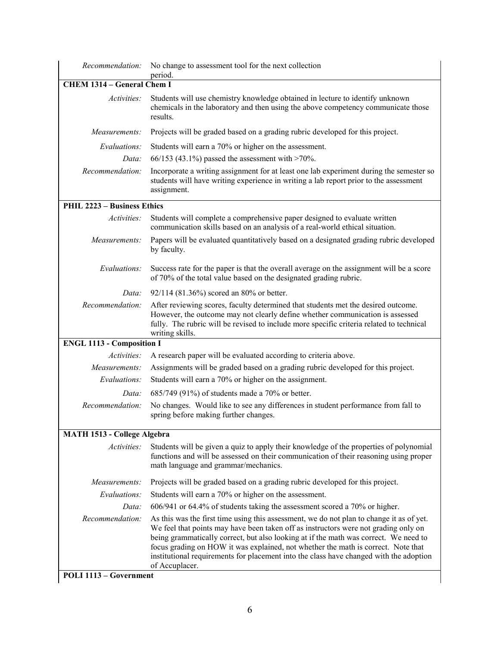| Recommendation:                                                                                | No change to assessment tool for the next collection<br>period.                                                                                                                                                                                                                                                                                                                                                                                                          |  |  |  |  |  |
|------------------------------------------------------------------------------------------------|--------------------------------------------------------------------------------------------------------------------------------------------------------------------------------------------------------------------------------------------------------------------------------------------------------------------------------------------------------------------------------------------------------------------------------------------------------------------------|--|--|--|--|--|
| <b>CHEM 1314 - General Chem I</b>                                                              |                                                                                                                                                                                                                                                                                                                                                                                                                                                                          |  |  |  |  |  |
| Activities:                                                                                    | Students will use chemistry knowledge obtained in lecture to identify unknown<br>chemicals in the laboratory and then using the above competency communicate those<br>results.                                                                                                                                                                                                                                                                                           |  |  |  |  |  |
| Measurements:<br>Projects will be graded based on a grading rubric developed for this project. |                                                                                                                                                                                                                                                                                                                                                                                                                                                                          |  |  |  |  |  |
| Evaluations:<br>Students will earn a 70% or higher on the assessment.                          |                                                                                                                                                                                                                                                                                                                                                                                                                                                                          |  |  |  |  |  |
| Data:                                                                                          | 66/153 (43.1%) passed the assessment with >70%.                                                                                                                                                                                                                                                                                                                                                                                                                          |  |  |  |  |  |
| Recommendation:                                                                                | Incorporate a writing assignment for at least one lab experiment during the semester so<br>students will have writing experience in writing a lab report prior to the assessment<br>assignment.                                                                                                                                                                                                                                                                          |  |  |  |  |  |
| PHIL 2223 - Business Ethics                                                                    |                                                                                                                                                                                                                                                                                                                                                                                                                                                                          |  |  |  |  |  |
| Activities:                                                                                    | Students will complete a comprehensive paper designed to evaluate written<br>communication skills based on an analysis of a real-world ethical situation.                                                                                                                                                                                                                                                                                                                |  |  |  |  |  |
| Measurements:                                                                                  | Papers will be evaluated quantitatively based on a designated grading rubric developed<br>by faculty.                                                                                                                                                                                                                                                                                                                                                                    |  |  |  |  |  |
| Evaluations:                                                                                   | Success rate for the paper is that the overall average on the assignment will be a score<br>of 70% of the total value based on the designated grading rubric.                                                                                                                                                                                                                                                                                                            |  |  |  |  |  |
| Data:                                                                                          | 92/114 (81.36%) scored an 80% or better.                                                                                                                                                                                                                                                                                                                                                                                                                                 |  |  |  |  |  |
| Recommendation:                                                                                | After reviewing scores, faculty determined that students met the desired outcome.<br>However, the outcome may not clearly define whether communication is assessed<br>fully. The rubric will be revised to include more specific criteria related to technical<br>writing skills.                                                                                                                                                                                        |  |  |  |  |  |
| <b>ENGL 1113 - Composition I</b>                                                               |                                                                                                                                                                                                                                                                                                                                                                                                                                                                          |  |  |  |  |  |
| Activities:                                                                                    | A research paper will be evaluated according to criteria above.                                                                                                                                                                                                                                                                                                                                                                                                          |  |  |  |  |  |
| Measurements:                                                                                  | Assignments will be graded based on a grading rubric developed for this project.                                                                                                                                                                                                                                                                                                                                                                                         |  |  |  |  |  |
| Evaluations:                                                                                   | Students will earn a 70% or higher on the assignment.                                                                                                                                                                                                                                                                                                                                                                                                                    |  |  |  |  |  |
| Data:                                                                                          | 685/749 (91%) of students made a 70% or better.                                                                                                                                                                                                                                                                                                                                                                                                                          |  |  |  |  |  |
| Recommendation:                                                                                | No changes. Would like to see any differences in student performance from fall to<br>spring before making further changes.                                                                                                                                                                                                                                                                                                                                               |  |  |  |  |  |
| <b>MATH 1513 - College Algebra</b>                                                             |                                                                                                                                                                                                                                                                                                                                                                                                                                                                          |  |  |  |  |  |
| Activities:                                                                                    | Students will be given a quiz to apply their knowledge of the properties of polynomial<br>functions and will be assessed on their communication of their reasoning using proper<br>math language and grammar/mechanics.                                                                                                                                                                                                                                                  |  |  |  |  |  |
| Measurements:                                                                                  | Projects will be graded based on a grading rubric developed for this project.                                                                                                                                                                                                                                                                                                                                                                                            |  |  |  |  |  |
| Evaluations:                                                                                   | Students will earn a 70% or higher on the assessment.                                                                                                                                                                                                                                                                                                                                                                                                                    |  |  |  |  |  |
| Data:                                                                                          | 606/941 or 64.4% of students taking the assessment scored a 70% or higher.                                                                                                                                                                                                                                                                                                                                                                                               |  |  |  |  |  |
| Recommendation:                                                                                | As this was the first time using this assessment, we do not plan to change it as of yet.<br>We feel that points may have been taken off as instructors were not grading only on<br>being grammatically correct, but also looking at if the math was correct. We need to<br>focus grading on HOW it was explained, not whether the math is correct. Note that<br>institutional requirements for placement into the class have changed with the adoption<br>of Accuplacer. |  |  |  |  |  |
| POLI 1113 - Government                                                                         |                                                                                                                                                                                                                                                                                                                                                                                                                                                                          |  |  |  |  |  |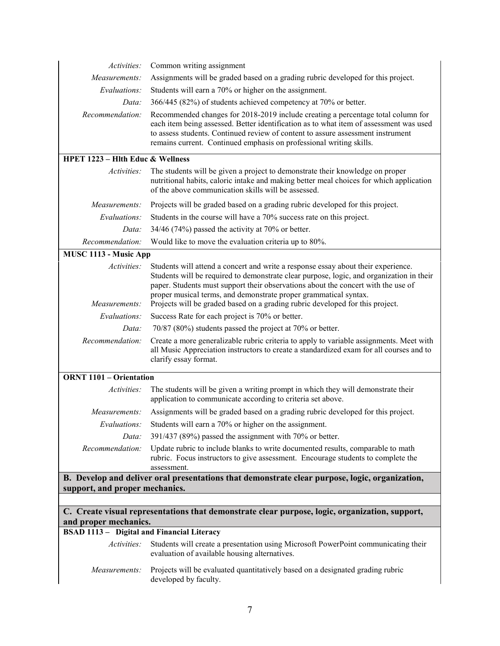| Activities:                                       | Common writing assignment                                                                                                                                                                                                                                                                                                                                                                                               |
|---------------------------------------------------|-------------------------------------------------------------------------------------------------------------------------------------------------------------------------------------------------------------------------------------------------------------------------------------------------------------------------------------------------------------------------------------------------------------------------|
| Measurements:                                     | Assignments will be graded based on a grading rubric developed for this project.                                                                                                                                                                                                                                                                                                                                        |
| Evaluations:                                      | Students will earn a 70% or higher on the assignment.                                                                                                                                                                                                                                                                                                                                                                   |
| Data:                                             | 366/445 (82%) of students achieved competency at 70% or better.                                                                                                                                                                                                                                                                                                                                                         |
| Recommendation:                                   | Recommended changes for 2018-2019 include creating a percentage total column for<br>each item being assessed. Better identification as to what item of assessment was used<br>to assess students. Continued review of content to assure assessment instrument<br>remains current. Continued emphasis on professional writing skills.                                                                                    |
| <b>HPET 1223 - Hlth Educ &amp; Wellness</b>       |                                                                                                                                                                                                                                                                                                                                                                                                                         |
| Activities:                                       | The students will be given a project to demonstrate their knowledge on proper<br>nutritional habits, caloric intake and making better meal choices for which application<br>of the above communication skills will be assessed.                                                                                                                                                                                         |
| Measurements:                                     | Projects will be graded based on a grading rubric developed for this project.                                                                                                                                                                                                                                                                                                                                           |
| Evaluations:                                      | Students in the course will have a 70% success rate on this project.                                                                                                                                                                                                                                                                                                                                                    |
| Data:                                             | $34/46$ (74%) passed the activity at 70% or better.                                                                                                                                                                                                                                                                                                                                                                     |
| Recommendation:                                   | Would like to move the evaluation criteria up to 80%.                                                                                                                                                                                                                                                                                                                                                                   |
| MUSC 1113 - Music App                             |                                                                                                                                                                                                                                                                                                                                                                                                                         |
| Activities:<br>Measurements:                      | Students will attend a concert and write a response essay about their experience.<br>Students will be required to demonstrate clear purpose, logic, and organization in their<br>paper. Students must support their observations about the concert with the use of<br>proper musical terms, and demonstrate proper grammatical syntax.<br>Projects will be graded based on a grading rubric developed for this project. |
| Evaluations:                                      | Success Rate for each project is 70% or better.                                                                                                                                                                                                                                                                                                                                                                         |
| Data:                                             | 70/87 (80%) students passed the project at 70% or better.                                                                                                                                                                                                                                                                                                                                                               |
| Recommendation:                                   | Create a more generalizable rubric criteria to apply to variable assignments. Meet with<br>all Music Appreciation instructors to create a standardized exam for all courses and to<br>clarify essay format.                                                                                                                                                                                                             |
| <b>ORNT 1101 - Orientation</b>                    |                                                                                                                                                                                                                                                                                                                                                                                                                         |
| Activities:                                       | The students will be given a writing prompt in which they will demonstrate their<br>application to communicate according to criteria set above.                                                                                                                                                                                                                                                                         |
| Measurements:                                     | Assignments will be graded based on a grading rubric developed for this project.                                                                                                                                                                                                                                                                                                                                        |
|                                                   | Evaluations: Students will earn a 70% or higher on the assignment.                                                                                                                                                                                                                                                                                                                                                      |
| Data:                                             | 391/437 (89%) passed the assignment with 70% or better.                                                                                                                                                                                                                                                                                                                                                                 |
| Recommendation:                                   | Update rubric to include blanks to write documented results, comparable to math<br>rubric. Focus instructors to give assessment. Encourage students to complete the<br>assessment.                                                                                                                                                                                                                                      |
| support, and proper mechanics.                    | B. Develop and deliver oral presentations that demonstrate clear purpose, logic, organization,                                                                                                                                                                                                                                                                                                                          |
|                                                   |                                                                                                                                                                                                                                                                                                                                                                                                                         |
|                                                   | C. Create visual representations that demonstrate clear purpose, logic, organization, support,                                                                                                                                                                                                                                                                                                                          |
| and proper mechanics.                             |                                                                                                                                                                                                                                                                                                                                                                                                                         |
| <b>BSAD 1113 - Digital and Financial Literacy</b> |                                                                                                                                                                                                                                                                                                                                                                                                                         |
| Activities:                                       | Students will create a presentation using Microsoft PowerPoint communicating their<br>evaluation of available housing alternatives.                                                                                                                                                                                                                                                                                     |
| Measurements:                                     | Projects will be evaluated quantitatively based on a designated grading rubric<br>developed by faculty.                                                                                                                                                                                                                                                                                                                 |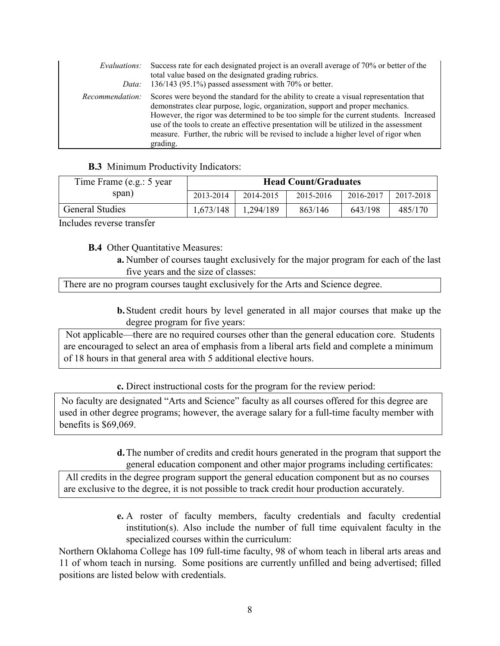| Evaluations:<br>Data: | Success rate for each designated project is an overall average of 70% or better of the<br>total value based on the designated grading rubrics.<br>136/143 (95.1%) passed assessment with 70% or better.                                                                                                                                                                                                                                                           |
|-----------------------|-------------------------------------------------------------------------------------------------------------------------------------------------------------------------------------------------------------------------------------------------------------------------------------------------------------------------------------------------------------------------------------------------------------------------------------------------------------------|
| Recommendation:       | Scores were beyond the standard for the ability to create a visual representation that<br>demonstrates clear purpose, logic, organization, support and proper mechanics.<br>However, the rigor was determined to be too simple for the current students. Increased<br>use of the tools to create an effective presentation will be utilized in the assessment<br>measure. Further, the rubric will be revised to include a higher level of rigor when<br>grading. |

#### **B.3** Minimum Productivity Indicators:

| Time Frame (e.g.: 5 year) | <b>Head Count/Graduates</b> |           |           |           |           |
|---------------------------|-----------------------------|-----------|-----------|-----------|-----------|
| span)                     | 2013-2014                   | 2014-2015 | 2015-2016 | 2016-2017 | 2017-2018 |
| <b>General Studies</b>    | 1,673/148                   | 1.294/189 | 863/146   | 643/198   | 485/170   |

Includes reverse transfer

**B.4** Other Quantitative Measures:

**a.** Number of courses taught exclusively for the major program for each of the last five years and the size of classes:

There are no program courses taught exclusively for the Arts and Science degree.

**b.**Student credit hours by level generated in all major courses that make up the degree program for five years:

Not applicable—there are no required courses other than the general education core. Students are encouraged to select an area of emphasis from a liberal arts field and complete a minimum of 18 hours in that general area with 5 additional elective hours.

**c.** Direct instructional costs for the program for the review period:

No faculty are designated "Arts and Science" faculty as all courses offered for this degree are used in other degree programs; however, the average salary for a full-time faculty member with benefits is \$69,069.

> **d.**The number of credits and credit hours generated in the program that support the general education component and other major programs including certificates:

All credits in the degree program support the general education component but as no courses are exclusive to the degree, it is not possible to track credit hour production accurately.

> **e.** A roster of faculty members, faculty credentials and faculty credential institution(s). Also include the number of full time equivalent faculty in the specialized courses within the curriculum:

Northern Oklahoma College has 109 full-time faculty, 98 of whom teach in liberal arts areas and 11 of whom teach in nursing. Some positions are currently unfilled and being advertised; filled positions are listed below with credentials.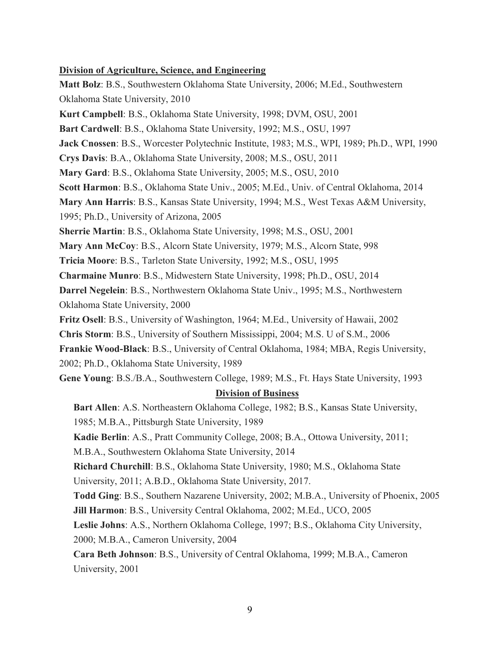#### **Division of Agriculture, Science, and Engineering**

**Matt Bolz**: B.S., Southwestern Oklahoma State University, 2006; M.Ed., Southwestern Oklahoma State University, 2010 **Kurt Campbell**: B.S., Oklahoma State University, 1998; DVM, OSU, 2001 **Bart Cardwell**: B.S., Oklahoma State University, 1992; M.S., OSU, 1997 **Jack Cnossen**: B.S., Worcester Polytechnic Institute, 1983; M.S., WPI, 1989; Ph.D., WPI, 1990 **Crys Davis**: B.A., Oklahoma State University, 2008; M.S., OSU, 2011 **Mary Gard**: B.S., Oklahoma State University, 2005; M.S., OSU, 2010 **Scott Harmon**: B.S., Oklahoma State Univ., 2005; M.Ed., Univ. of Central Oklahoma, 2014 **Mary Ann Harris**: B.S., Kansas State University, 1994; M.S., West Texas A&M University, 1995; Ph.D., University of Arizona, 2005 **Sherrie Martin**: B.S., Oklahoma State University, 1998; M.S., OSU, 2001 **Mary Ann McCoy**: B.S., Alcorn State University, 1979; M.S., Alcorn State, 998 **Tricia Moore**: B.S., Tarleton State University, 1992; M.S., OSU, 1995 **Charmaine Munro**: B.S., Midwestern State University, 1998; Ph.D., OSU, 2014 **Darrel Negelein**: B.S., Northwestern Oklahoma State Univ., 1995; M.S., Northwestern Oklahoma State University, 2000 **Fritz Osell**: B.S., University of Washington, 1964; M.Ed., University of Hawaii, 2002 **Chris Storm**: B.S., University of Southern Mississippi, 2004; M.S. U of S.M., 2006 **Frankie Wood-Black**: B.S., University of Central Oklahoma, 1984; MBA, Regis University, 2002; Ph.D., Oklahoma State University, 1989 **Gene Young**: B.S./B.A., Southwestern College, 1989; M.S., Ft. Hays State University, 1993 **Division of Business**

**Bart Allen**: A.S. Northeastern Oklahoma College, 1982; B.S., Kansas State University, 1985; M.B.A., Pittsburgh State University, 1989

**Kadie Berlin**: A.S., Pratt Community College, 2008; B.A., Ottowa University, 2011;

M.B.A., Southwestern Oklahoma State University, 2014

**Richard Churchill**: B.S., Oklahoma State University, 1980; M.S., Oklahoma State University, 2011; A.B.D., Oklahoma State University, 2017.

**Todd Ging**: B.S., Southern Nazarene University, 2002; M.B.A., University of Phoenix, 2005 **Jill Harmon**: B.S., University Central Oklahoma, 2002; M.Ed., UCO, 2005

**Leslie Johns**: A.S., Northern Oklahoma College, 1997; B.S., Oklahoma City University, 2000; M.B.A., Cameron University, 2004

**Cara Beth Johnson**: B.S., University of Central Oklahoma, 1999; M.B.A., Cameron University, 2001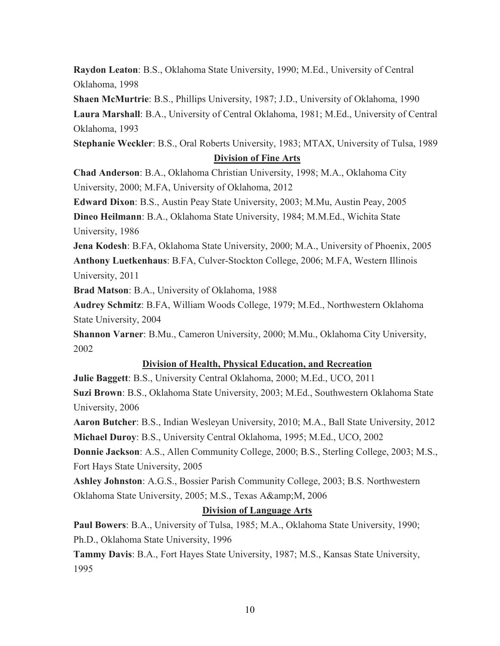**Raydon Leaton**: B.S., Oklahoma State University, 1990; M.Ed., University of Central Oklahoma, 1998

**Shaen McMurtrie**: B.S., Phillips University, 1987; J.D., University of Oklahoma, 1990 **Laura Marshall**: B.A., University of Central Oklahoma, 1981; M.Ed., University of Central Oklahoma, 1993

**Stephanie Weckler**: B.S., Oral Roberts University, 1983; MTAX, University of Tulsa, 1989

## **Division of Fine Arts**

**Chad Anderson**: B.A., Oklahoma Christian University, 1998; M.A., Oklahoma City University, 2000; M.FA, University of Oklahoma, 2012

**Edward Dixon**: B.S., Austin Peay State University, 2003; M.Mu, Austin Peay, 2005 **Dineo Heilmann**: B.A., Oklahoma State University, 1984; M.M.Ed., Wichita State University, 1986

**Jena Kodesh**: B.FA, Oklahoma State University, 2000; M.A., University of Phoenix, 2005 **Anthony Luetkenhaus**: B.FA, Culver-Stockton College, 2006; M.FA, Western Illinois University, 2011

**Brad Matson**: B.A., University of Oklahoma, 1988

**Audrey Schmitz**: B.FA, William Woods College, 1979; M.Ed., Northwestern Oklahoma State University, 2004

**Shannon Varner**: B.Mu., Cameron University, 2000; M.Mu., Oklahoma City University, 2002

## **Division of Health, Physical Education, and Recreation**

**Julie Baggett**: B.S., University Central Oklahoma, 2000; M.Ed., UCO, 2011 **Suzi Brown**: B.S., Oklahoma State University, 2003; M.Ed., Southwestern Oklahoma State University, 2006

**Aaron Butcher**: B.S., Indian Wesleyan University, 2010; M.A., Ball State University, 2012 **Michael Duroy**: B.S., University Central Oklahoma, 1995; M.Ed., UCO, 2002

**Donnie Jackson**: A.S., Allen Community College, 2000; B.S., Sterling College, 2003; M.S., Fort Hays State University, 2005

**Ashley Johnston**: A.G.S., Bossier Parish Community College, 2003; B.S. Northwestern Oklahoma State University, 2005; M.S., Texas A& M, 2006

## **Division of Language Arts**

**Paul Bowers**: B.A., University of Tulsa, 1985; M.A., Oklahoma State University, 1990; Ph.D., Oklahoma State University, 1996

**Tammy Davis**: B.A., Fort Hayes State University, 1987; M.S., Kansas State University, 1995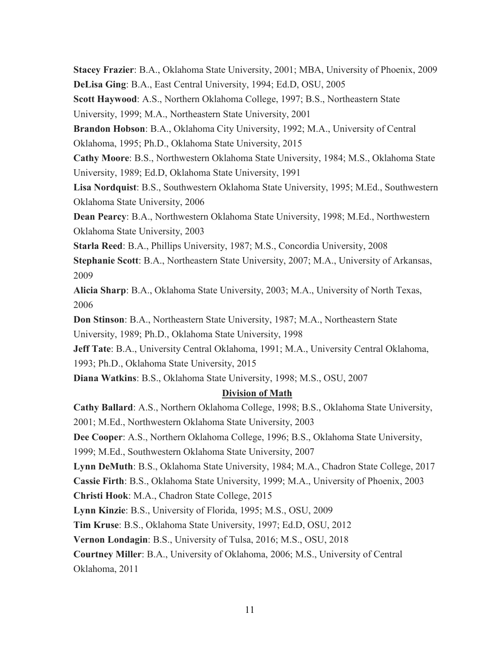**Stacey Frazier**: B.A., Oklahoma State University, 2001; MBA, University of Phoenix, 2009 **DeLisa Ging**: B.A., East Central University, 1994; Ed.D, OSU, 2005

**Scott Haywood**: A.S., Northern Oklahoma College, 1997; B.S., Northeastern State University, 1999; M.A., Northeastern State University, 2001

**Brandon Hobson**: B.A., Oklahoma City University, 1992; M.A., University of Central Oklahoma, 1995; Ph.D., Oklahoma State University, 2015

**Cathy Moore**: B.S., Northwestern Oklahoma State University, 1984; M.S., Oklahoma State University, 1989; Ed.D, Oklahoma State University, 1991

**Lisa Nordquist**: B.S., Southwestern Oklahoma State University, 1995; M.Ed., Southwestern Oklahoma State University, 2006

**Dean Pearcy**: B.A., Northwestern Oklahoma State University, 1998; M.Ed., Northwestern Oklahoma State University, 2003

**Starla Reed**: B.A., Phillips University, 1987; M.S., Concordia University, 2008

**Stephanie Scott**: B.A., Northeastern State University, 2007; M.A., University of Arkansas, 2009

**Alicia Sharp**: B.A., Oklahoma State University, 2003; M.A., University of North Texas, 2006

**Don Stinson**: B.A., Northeastern State University, 1987; M.A., Northeastern State University, 1989; Ph.D., Oklahoma State University, 1998

**Jeff Tate**: B.A., University Central Oklahoma, 1991; M.A., University Central Oklahoma, 1993; Ph.D., Oklahoma State University, 2015

**Diana Watkins**: B.S., Oklahoma State University, 1998; M.S., OSU, 2007

# **Division of Math**

**Cathy Ballard**: A.S., Northern Oklahoma College, 1998; B.S., Oklahoma State University, 2001; M.Ed., Northwestern Oklahoma State University, 2003 **Dee Cooper**: A.S., Northern Oklahoma College, 1996; B.S., Oklahoma State University, 1999; M.Ed., Southwestern Oklahoma State University, 2007 **Lynn DeMuth**: B.S., Oklahoma State University, 1984; M.A., Chadron State College, 2017 **Cassie Firth**: B.S., Oklahoma State University, 1999; M.A., University of Phoenix, 2003 **Christi Hook**: M.A., Chadron State College, 2015 **Lynn Kinzie**: B.S., University of Florida, 1995; M.S., OSU, 2009 **Tim Kruse**: B.S., Oklahoma State University, 1997; Ed.D, OSU, 2012 **Vernon Londagin**: B.S., University of Tulsa, 2016; M.S., OSU, 2018 **Courtney Miller**: B.A., University of Oklahoma, 2006; M.S., University of Central Oklahoma, 2011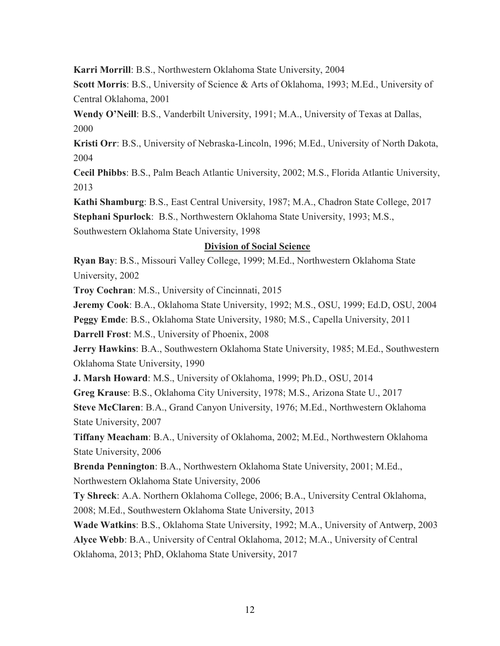**Karri Morrill**: B.S., Northwestern Oklahoma State University, 2004

**Scott Morris**: B.S., University of Science & Arts of Oklahoma, 1993; M.Ed., University of Central Oklahoma, 2001

**Wendy O'Neill**: B.S., Vanderbilt University, 1991; M.A., University of Texas at Dallas, 2000

**Kristi Orr**: B.S., University of Nebraska-Lincoln, 1996; M.Ed., University of North Dakota, 2004

**Cecil Phibbs**: B.S., Palm Beach Atlantic University, 2002; M.S., Florida Atlantic University, 2013

**Kathi Shamburg**: B.S., East Central University, 1987; M.A., Chadron State College, 2017

**Stephani Spurlock**: B.S., Northwestern Oklahoma State University, 1993; M.S.,

Southwestern Oklahoma State University, 1998

# **Division of Social Science**

**Ryan Bay**: B.S., Missouri Valley College, 1999; M.Ed., Northwestern Oklahoma State University, 2002

**Troy Cochran**: M.S., University of Cincinnati, 2015

**Jeremy Cook**: B.A., Oklahoma State University, 1992; M.S., OSU, 1999; Ed.D, OSU, 2004

**Peggy Emde**: B.S., Oklahoma State University, 1980; M.S., Capella University, 2011

**Darrell Frost**: M.S., University of Phoenix, 2008

**Jerry Hawkins**: B.A., Southwestern Oklahoma State University, 1985; M.Ed., Southwestern Oklahoma State University, 1990

**J. Marsh Howard**: M.S., University of Oklahoma, 1999; Ph.D., OSU, 2014

**Greg Krause**: B.S., Oklahoma City University, 1978; M.S., Arizona State U., 2017

**Steve McClaren**: B.A., Grand Canyon University, 1976; M.Ed., Northwestern Oklahoma State University, 2007

**Tiffany Meacham**: B.A., University of Oklahoma, 2002; M.Ed., Northwestern Oklahoma State University, 2006

**Brenda Pennington**: B.A., Northwestern Oklahoma State University, 2001; M.Ed., Northwestern Oklahoma State University, 2006

**Ty Shreck**: A.A. Northern Oklahoma College, 2006; B.A., University Central Oklahoma, 2008; M.Ed., Southwestern Oklahoma State University, 2013

**Wade Watkins**: B.S., Oklahoma State University, 1992; M.A., University of Antwerp, 2003 **Alyce Webb**: B.A., University of Central Oklahoma, 2012; M.A., University of Central Oklahoma, 2013; PhD, Oklahoma State University, 2017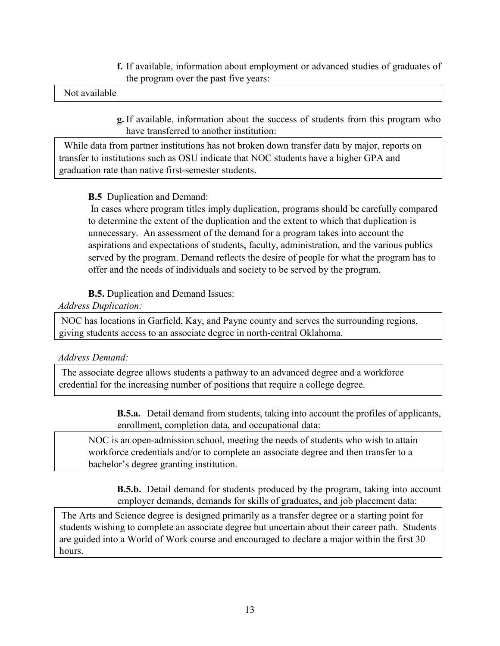**f.** If available, information about employment or advanced studies of graduates of the program over the past five years:

#### Not available

**g.** If available, information about the success of students from this program who have transferred to another institution:

 While data from partner institutions has not broken down transfer data by major, reports on transfer to institutions such as OSU indicate that NOC students have a higher GPA and graduation rate than native first-semester students.

## **B.5** Duplication and Demand:

In cases where program titles imply duplication, programs should be carefully compared to determine the extent of the duplication and the extent to which that duplication is unnecessary. An assessment of the demand for a program takes into account the aspirations and expectations of students, faculty, administration, and the various publics served by the program. Demand reflects the desire of people for what the program has to offer and the needs of individuals and society to be served by the program.

## **B.5.** Duplication and Demand Issues:

#### *Address Duplication:*

NOC has locations in Garfield, Kay, and Payne county and serves the surrounding regions, giving students access to an associate degree in north-central Oklahoma.

#### *Address Demand:*

The associate degree allows students a pathway to an advanced degree and a workforce credential for the increasing number of positions that require a college degree.

> **B.5.a.** Detail demand from students, taking into account the profiles of applicants, enrollment, completion data, and occupational data:

NOC is an open-admission school, meeting the needs of students who wish to attain workforce credentials and/or to complete an associate degree and then transfer to a bachelor's degree granting institution.

**B.5.b.** Detail demand for students produced by the program, taking into account employer demands, demands for skills of graduates, and job placement data:

The Arts and Science degree is designed primarily as a transfer degree or a starting point for students wishing to complete an associate degree but uncertain about their career path. Students are guided into a World of Work course and encouraged to declare a major within the first 30 hours.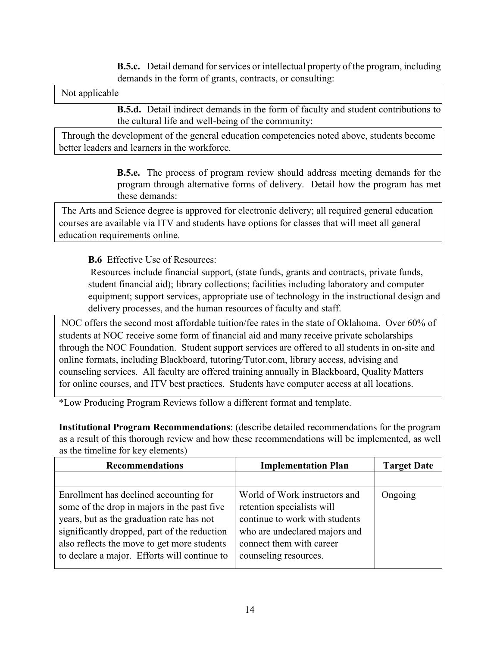**B.5.c.** Detail demand for services or intellectual property of the program, including demands in the form of grants, contracts, or consulting:

Not applicable

**B.5.d.** Detail indirect demands in the form of faculty and student contributions to the cultural life and well-being of the community:

Through the development of the general education competencies noted above, students become better leaders and learners in the workforce.

> **B.5.e.** The process of program review should address meeting demands for the program through alternative forms of delivery. Detail how the program has met these demands:

The Arts and Science degree is approved for electronic delivery; all required general education courses are available via ITV and students have options for classes that will meet all general education requirements online.

**B.6** Effective Use of Resources:

Resources include financial support, (state funds, grants and contracts, private funds, student financial aid); library collections; facilities including laboratory and computer equipment; support services, appropriate use of technology in the instructional design and delivery processes, and the human resources of faculty and staff.

NOC offers the second most affordable tuition/fee rates in the state of Oklahoma. Over 60% of students at NOC receive some form of financial aid and many receive private scholarships through the NOC Foundation. Student support services are offered to all students in on-site and online formats, including Blackboard, tutoring/Tutor.com, library access, advising and counseling services. All faculty are offered training annually in Blackboard, Quality Matters for online courses, and ITV best practices. Students have computer access at all locations.

\*Low Producing Program Reviews follow a different format and template.

**Institutional Program Recommendations**: (describe detailed recommendations for the program as a result of this thorough review and how these recommendations will be implemented, as well as the timeline for key elements)

| <b>Recommendations</b>                                                                                                                                                                                                                                                            | <b>Implementation Plan</b>                                                                                                                                                          | <b>Target Date</b> |
|-----------------------------------------------------------------------------------------------------------------------------------------------------------------------------------------------------------------------------------------------------------------------------------|-------------------------------------------------------------------------------------------------------------------------------------------------------------------------------------|--------------------|
|                                                                                                                                                                                                                                                                                   |                                                                                                                                                                                     |                    |
| Enrollment has declined accounting for<br>some of the drop in majors in the past five<br>years, but as the graduation rate has not<br>significantly dropped, part of the reduction<br>also reflects the move to get more students<br>to declare a major. Efforts will continue to | World of Work instructors and<br>retention specialists will<br>continue to work with students<br>who are undeclared majors and<br>connect them with career<br>counseling resources. | Ongoing            |